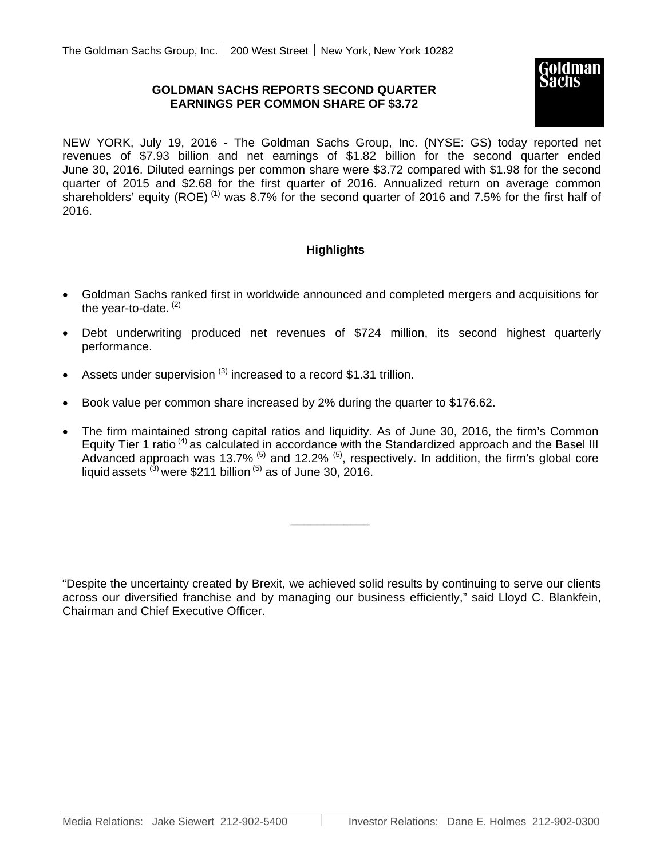# **GOLDMAN SACHS REPORTS SECOND QUARTER EARNINGS PER COMMON SHARE OF \$3.72**



NEW YORK, July 19, 2016 - The Goldman Sachs Group, Inc. (NYSE: GS) today reported net revenues of \$7.93 billion and net earnings of \$1.82 billion for the second quarter ended June 30, 2016. Diluted earnings per common share were \$3.72 compared with \$1.98 for the second quarter of 2015 and \$2.68 for the first quarter of 2016. Annualized return on average common shareholders' equity (ROE)<sup>(1)</sup> was 8.7% for the second quarter of 2016 and 7.5% for the first half of 2016.

# **Highlights**

- Goldman Sachs ranked first in worldwide announced and completed mergers and acquisitions for the vear-to-date.  $(2)$
- Debt underwriting produced net revenues of \$724 million, its second highest quarterly performance.
- Assets under supervision  $(3)$  increased to a record \$1.31 trillion.
- Book value per common share increased by 2% during the quarter to \$176.62.
- The firm maintained strong capital ratios and liquidity. As of June 30, 2016, the firm's Common Equity Tier 1 ratio<sup>(4)</sup> as calculated in accordance with the Standardized approach and the Basel III Advanced approach was 13.7%  $^{(5)}$  and 12.2%  $^{(5)}$ , respectively. In addition, the firm's global core liquid assets  $^{(3)}$  were \$211 billion  $^{(5)}$  as of June 30, 2016.

\_\_\_\_\_\_\_\_\_\_\_\_

"Despite the uncertainty created by Brexit, we achieved solid results by continuing to serve our clients across our diversified franchise and by managing our business efficiently," said Lloyd C. Blankfein, Chairman and Chief Executive Officer.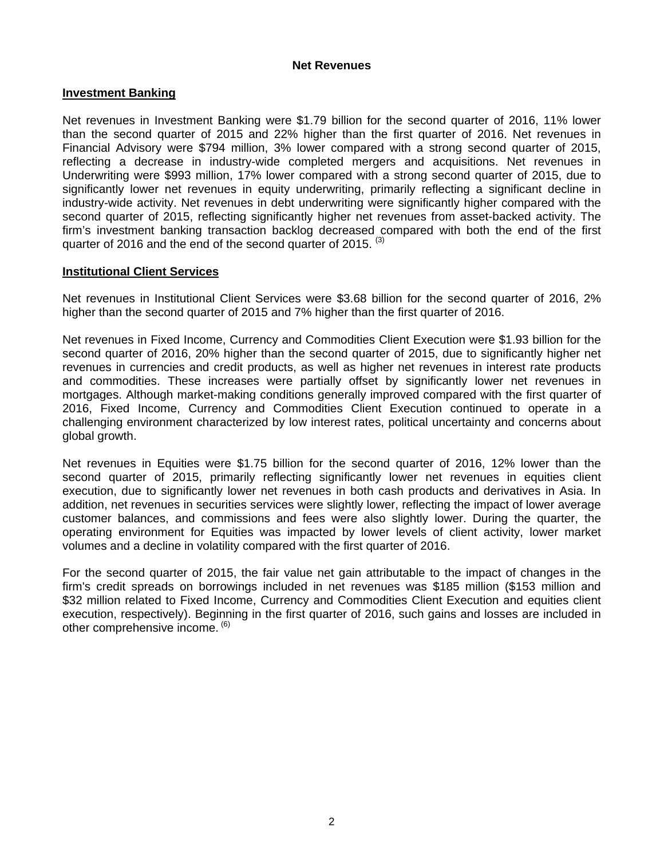# **Net Revenues**

# **Investment Banking**

Net revenues in Investment Banking were \$1.79 billion for the second quarter of 2016, 11% lower than the second quarter of 2015 and 22% higher than the first quarter of 2016. Net revenues in Financial Advisory were \$794 million, 3% lower compared with a strong second quarter of 2015, reflecting a decrease in industry-wide completed mergers and acquisitions. Net revenues in Underwriting were \$993 million, 17% lower compared with a strong second quarter of 2015, due to significantly lower net revenues in equity underwriting, primarily reflecting a significant decline in industry-wide activity. Net revenues in debt underwriting were significantly higher compared with the second quarter of 2015, reflecting significantly higher net revenues from asset-backed activity. The firm's investment banking transaction backlog decreased compared with both the end of the first quarter of 2016 and the end of the second quarter of 2015.  $(3)$ 

## **Institutional Client Services**

Net revenues in Institutional Client Services were \$3.68 billion for the second quarter of 2016, 2% higher than the second quarter of 2015 and 7% higher than the first quarter of 2016.

Net revenues in Fixed Income, Currency and Commodities Client Execution were \$1.93 billion for the second quarter of 2016, 20% higher than the second quarter of 2015, due to significantly higher net revenues in currencies and credit products, as well as higher net revenues in interest rate products and commodities. These increases were partially offset by significantly lower net revenues in mortgages. Although market-making conditions generally improved compared with the first quarter of 2016, Fixed Income, Currency and Commodities Client Execution continued to operate in a challenging environment characterized by low interest rates, political uncertainty and concerns about global growth.

Net revenues in Equities were \$1.75 billion for the second quarter of 2016, 12% lower than the second quarter of 2015, primarily reflecting significantly lower net revenues in equities client execution, due to significantly lower net revenues in both cash products and derivatives in Asia. In addition, net revenues in securities services were slightly lower, reflecting the impact of lower average customer balances, and commissions and fees were also slightly lower. During the quarter, the operating environment for Equities was impacted by lower levels of client activity, lower market volumes and a decline in volatility compared with the first quarter of 2016.

For the second quarter of 2015, the fair value net gain attributable to the impact of changes in the firm's credit spreads on borrowings included in net revenues was \$185 million (\$153 million and \$32 million related to Fixed Income, Currency and Commodities Client Execution and equities client execution, respectively). Beginning in the first quarter of 2016, such gains and losses are included in other comprehensive income. <sup>(6)</sup>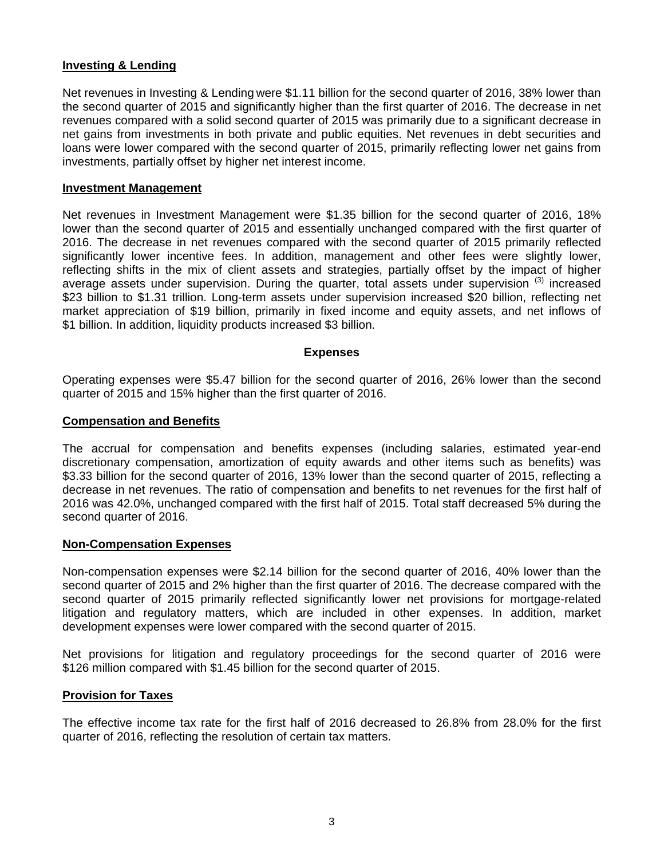## **Investing & Lending**

Net revenues in Investing & Lending were \$1.11 billion for the second quarter of 2016, 38% lower than the second quarter of 2015 and significantly higher than the first quarter of 2016. The decrease in net revenues compared with a solid second quarter of 2015 was primarily due to a significant decrease in net gains from investments in both private and public equities. Net revenues in debt securities and loans were lower compared with the second quarter of 2015, primarily reflecting lower net gains from investments, partially offset by higher net interest income.

### **Investment Management**

Net revenues in Investment Management were \$1.35 billion for the second quarter of 2016, 18% lower than the second quarter of 2015 and essentially unchanged compared with the first quarter of 2016. The decrease in net revenues compared with the second quarter of 2015 primarily reflected significantly lower incentive fees. In addition, management and other fees were slightly lower, reflecting shifts in the mix of client assets and strategies, partially offset by the impact of higher average assets under supervision. During the quarter, total assets under supervision (3) increased \$23 billion to \$1.31 trillion. Long-term assets under supervision increased \$20 billion, reflecting net market appreciation of \$19 billion, primarily in fixed income and equity assets, and net inflows of \$1 billion. In addition, liquidity products increased \$3 billion.

## **Expenses**

Operating expenses were \$5.47 billion for the second quarter of 2016, 26% lower than the second quarter of 2015 and 15% higher than the first quarter of 2016.

### **Compensation and Benefits**

The accrual for compensation and benefits expenses (including salaries, estimated year-end discretionary compensation, amortization of equity awards and other items such as benefits) was \$3.33 billion for the second quarter of 2016, 13% lower than the second quarter of 2015, reflecting a decrease in net revenues. The ratio of compensation and benefits to net revenues for the first half of 2016 was 42.0%, unchanged compared with the first half of 2015. Total staff decreased 5% during the second quarter of 2016.

## **Non-Compensation Expenses**

Non-compensation expenses were \$2.14 billion for the second quarter of 2016, 40% lower than the second quarter of 2015 and 2% higher than the first quarter of 2016. The decrease compared with the second quarter of 2015 primarily reflected significantly lower net provisions for mortgage-related litigation and regulatory matters, which are included in other expenses. In addition, market development expenses were lower compared with the second quarter of 2015.

Net provisions for litigation and regulatory proceedings for the second quarter of 2016 were \$126 million compared with \$1.45 billion for the second quarter of 2015.

## **Provision for Taxes**

The effective income tax rate for the first half of 2016 decreased to 26.8% from 28.0% for the first quarter of 2016, reflecting the resolution of certain tax matters.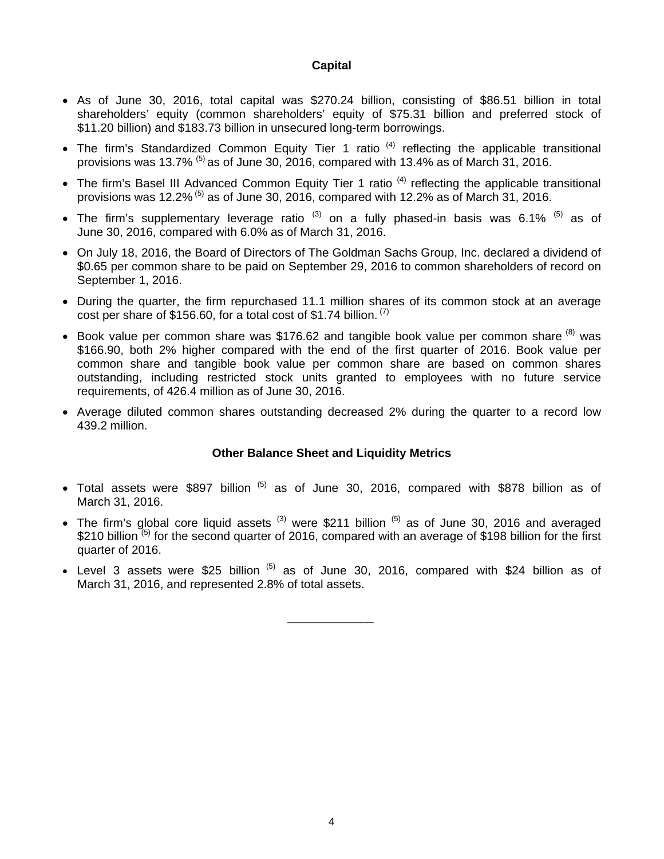## **Capital**

- As of June 30, 2016, total capital was \$270.24 billion, consisting of \$86.51 billion in total shareholders' equity (common shareholders' equity of \$75.31 billion and preferred stock of \$11.20 billion) and \$183.73 billion in unsecured long-term borrowings.
- The firm's Standardized Common Equity Tier 1 ratio  $(4)$  reflecting the applicable transitional provisions was 13.7%  $^{(5)}$  as of June 30, 2016, compared with 13.4% as of March 31, 2016.
- The firm's Basel III Advanced Common Equity Tier 1 ratio<sup>(4)</sup> reflecting the applicable transitional provisions was 12.2%<sup>(5)</sup> as of June 30, 2016, compared with 12.2% as of March 31, 2016.
- The firm's supplementary leverage ratio  $(3)$  on a fully phased-in basis was 6.1%  $(5)$  as of June 30, 2016, compared with 6.0% as of March 31, 2016.
- On July 18, 2016, the Board of Directors of The Goldman Sachs Group, Inc. declared a dividend of \$0.65 per common share to be paid on September 29, 2016 to common shareholders of record on September 1, 2016.
- During the quarter, the firm repurchased 11.1 million shares of its common stock at an average cost per share of \$156.60, for a total cost of \$1.74 billion.  $(7)$
- $\bullet$  Book value per common share was \$176.62 and tangible book value per common share  $^{(8)}$  was \$166.90, both 2% higher compared with the end of the first quarter of 2016. Book value per common share and tangible book value per common share are based on common shares outstanding, including restricted stock units granted to employees with no future service requirements, of 426.4 million as of June 30, 2016.
- Average diluted common shares outstanding decreased 2% during the quarter to a record low 439.2 million.

## **Other Balance Sheet and Liquidity Metrics**

- $\bullet$  Total assets were \$897 billion  $^{(5)}$  as of June 30, 2016, compared with \$878 billion as of March 31, 2016.
- The firm's global core liquid assets  $(3)$  were \$211 billion  $(5)$  as of June 30, 2016 and averaged \$210 billion<sup>(5)</sup> for the second quarter of 2016, compared with an average of \$198 billion for the first quarter of 2016.
- Level 3 assets were \$25 billion  $^{(5)}$  as of June 30, 2016, compared with \$24 billion as of March 31, 2016, and represented 2.8% of total assets.

\_\_\_\_\_\_\_\_\_\_\_\_\_

4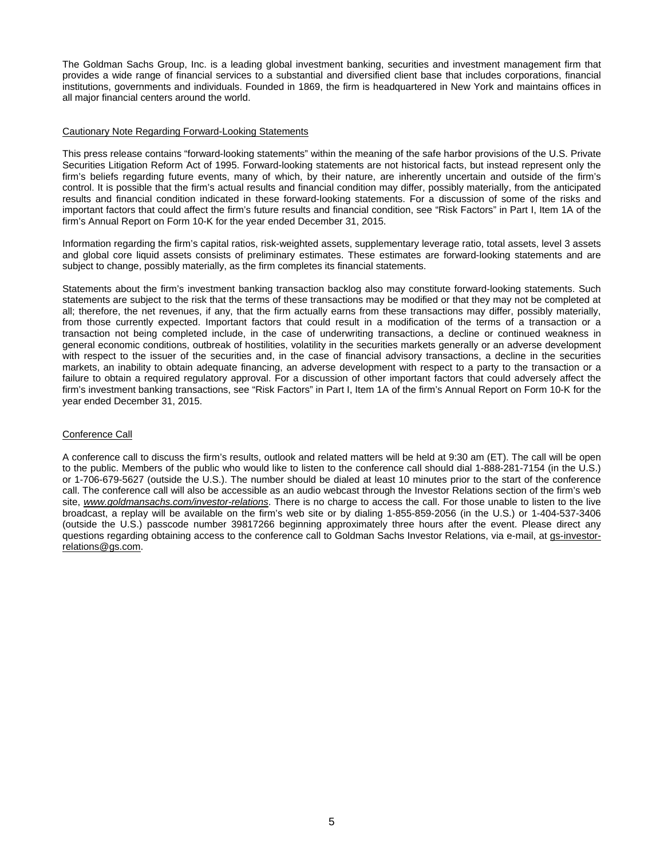The Goldman Sachs Group, Inc. is a leading global investment banking, securities and investment management firm that provides a wide range of financial services to a substantial and diversified client base that includes corporations, financial institutions, governments and individuals. Founded in 1869, the firm is headquartered in New York and maintains offices in all major financial centers around the world.

#### Cautionary Note Regarding Forward-Looking Statements

This press release contains "forward-looking statements" within the meaning of the safe harbor provisions of the U.S. Private Securities Litigation Reform Act of 1995. Forward-looking statements are not historical facts, but instead represent only the firm's beliefs regarding future events, many of which, by their nature, are inherently uncertain and outside of the firm's control. It is possible that the firm's actual results and financial condition may differ, possibly materially, from the anticipated results and financial condition indicated in these forward-looking statements. For a discussion of some of the risks and important factors that could affect the firm's future results and financial condition, see "Risk Factors" in Part I, Item 1A of the firm's Annual Report on Form 10-K for the year ended December 31, 2015.

Information regarding the firm's capital ratios, risk-weighted assets, supplementary leverage ratio, total assets, level 3 assets and global core liquid assets consists of preliminary estimates. These estimates are forward-looking statements and are subject to change, possibly materially, as the firm completes its financial statements.

Statements about the firm's investment banking transaction backlog also may constitute forward-looking statements. Such statements are subject to the risk that the terms of these transactions may be modified or that they may not be completed at all; therefore, the net revenues, if any, that the firm actually earns from these transactions may differ, possibly materially, from those currently expected. Important factors that could result in a modification of the terms of a transaction or a transaction not being completed include, in the case of underwriting transactions, a decline or continued weakness in general economic conditions, outbreak of hostilities, volatility in the securities markets generally or an adverse development with respect to the issuer of the securities and, in the case of financial advisory transactions, a decline in the securities markets, an inability to obtain adequate financing, an adverse development with respect to a party to the transaction or a failure to obtain a required regulatory approval. For a discussion of other important factors that could adversely affect the firm's investment banking transactions, see "Risk Factors" in Part I, Item 1A of the firm's Annual Report on Form 10-K for the year ended December 31, 2015.

#### Conference Call

A conference call to discuss the firm's results, outlook and related matters will be held at 9:30 am (ET). The call will be open to the public. Members of the public who would like to listen to the conference call should dial 1-888-281-7154 (in the U.S.) or 1-706-679-5627 (outside the U.S.). The number should be dialed at least 10 minutes prior to the start of the conference call. The conference call will also be accessible as an audio webcast through the Investor Relations section of the firm's web site, *www.goldmansachs.com/investor-relations*. There is no charge to access the call. For those unable to listen to the live broadcast, a replay will be available on the firm's web site or by dialing 1-855-859-2056 (in the U.S.) or 1-404-537-3406 (outside the U.S.) passcode number 39817266 beginning approximately three hours after the event. Please direct any questions regarding obtaining access to the conference call to Goldman Sachs Investor Relations, via e-mail, at gs-investorrelations@gs.com.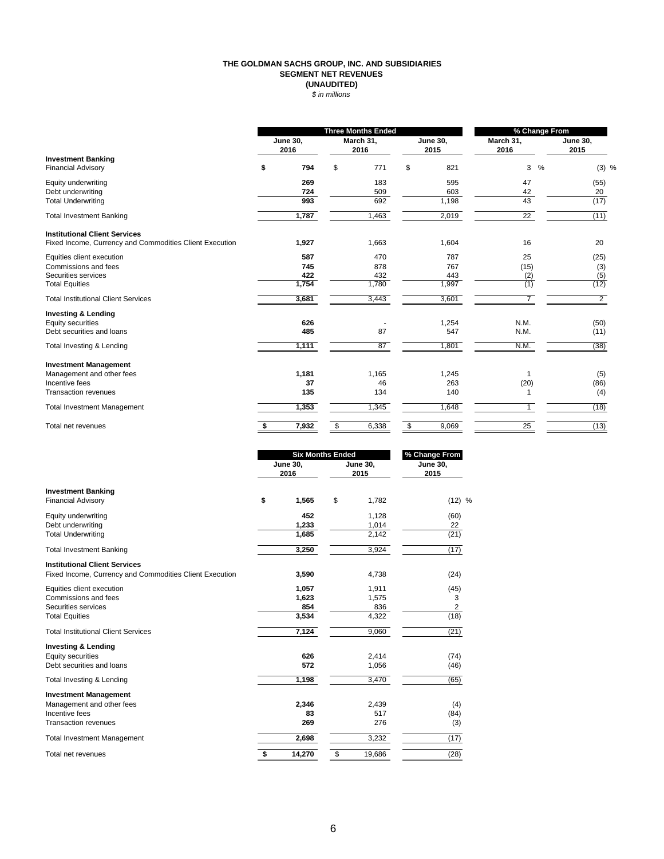#### **THE GOLDMAN SACHS GROUP, INC. AND SUBSIDIARIES SEGMENT NET REVENUES (UNAUDITED)** *\$ in millions*

|                                                         | <b>Three Months Ended</b> |                         |    |                   | % Change From           |                   |   |                         |
|---------------------------------------------------------|---------------------------|-------------------------|----|-------------------|-------------------------|-------------------|---|-------------------------|
|                                                         |                           | <b>June 30,</b><br>2016 |    | March 31,<br>2016 | <b>June 30,</b><br>2015 | March 31,<br>2016 |   | <b>June 30,</b><br>2015 |
| <b>Investment Banking</b><br><b>Financial Advisory</b>  | \$                        | 794                     | \$ | 771               | \$<br>821               | 3                 | % | $(3)$ %                 |
| Equity underwriting                                     |                           | 269                     |    | 183               | 595                     | 47                |   | (55)                    |
| Debt underwriting<br><b>Total Underwriting</b>          |                           | 724<br>993              |    | 509<br>692        | 603<br>1,198            | 42<br>43          |   | 20<br>(17)              |
| <b>Total Investment Banking</b>                         |                           | 1,787                   |    | 1,463             | 2,019                   | $\overline{22}$   |   | (11)                    |
| <b>Institutional Client Services</b>                    |                           |                         |    |                   |                         |                   |   |                         |
| Fixed Income, Currency and Commodities Client Execution |                           | 1,927                   |    | 1,663             | 1,604                   | 16                |   | 20                      |
| Equities client execution                               |                           | 587                     |    | 470               | 787                     | 25                |   | (25)                    |
| Commissions and fees                                    |                           | 745                     |    | 878               | 767                     | (15)              |   | (3)                     |
| Securities services                                     |                           | 422                     |    | 432               | 443                     | (2)               |   | (5)                     |
| <b>Total Equities</b>                                   |                           | 1,754                   |    | 1,780             | 1,997                   | (1)               |   | (12)                    |
| <b>Total Institutional Client Services</b>              |                           | 3,681                   |    | 3,443             | 3,601                   | $\overline{7}$    |   | $\overline{2}$          |
| <b>Investing &amp; Lending</b>                          |                           |                         |    |                   |                         |                   |   |                         |
| Equity securities                                       |                           | 626                     |    |                   | 1,254                   | N.M.              |   | (50)                    |
| Debt securities and loans                               |                           | 485                     |    | 87                | 547                     | N.M.              |   | (11)                    |
| Total Investing & Lending                               |                           | 1,111                   |    | 87                | 1,801                   | N.M.              |   | (38)                    |
| <b>Investment Management</b>                            |                           |                         |    |                   |                         |                   |   |                         |
| Management and other fees                               |                           | 1,181                   |    | 1,165             | 1,245                   |                   |   | (5)                     |
| Incentive fees                                          |                           | 37                      |    | 46                | 263                     | (20)              |   | (86)                    |
| <b>Transaction revenues</b>                             |                           | 135                     |    | 134               | 140                     |                   |   | (4)                     |
| <b>Total Investment Management</b>                      |                           | 1,353                   |    | 1,345             | 1,648                   | $\mathbf{1}$      |   | (18)                    |
| Total net revenues                                      |                           | 7,932                   | \$ | 6,338             | \$<br>9,069             | 25                |   | (13)                    |

|                                                                                                 |    | <b>Six Months Ended</b> |    |                  | % Change From           |  |  |
|-------------------------------------------------------------------------------------------------|----|-------------------------|----|------------------|-------------------------|--|--|
| <b>Investment Banking</b><br><b>Financial Advisory</b>                                          |    | <b>June 30,</b><br>2016 |    | June 30,<br>2015 | <b>June 30,</b><br>2015 |  |  |
|                                                                                                 |    | 1,565                   | \$ | 1,782            | (12) %                  |  |  |
| Equity underwriting                                                                             |    | 452                     |    | 1,128            | (60)                    |  |  |
| Debt underwriting                                                                               |    | 1,233                   |    | 1,014            | 22                      |  |  |
| <b>Total Underwriting</b>                                                                       |    | 1,685                   |    | 2,142            | (21)                    |  |  |
| <b>Total Investment Banking</b>                                                                 |    | 3,250                   |    | 3,924            | (17)                    |  |  |
| <b>Institutional Client Services</b><br>Fixed Income, Currency and Commodities Client Execution |    | 3,590                   |    | 4,738            | (24)                    |  |  |
| Equities client execution                                                                       |    | 1,057                   |    | 1,911            | (45)                    |  |  |
| Commissions and fees                                                                            |    | 1,623                   |    | 1,575            | 3                       |  |  |
| Securities services                                                                             |    | 854                     |    | 836              | $\overline{2}$          |  |  |
| <b>Total Equities</b>                                                                           |    | 3,534                   |    | 4,322            | (18)                    |  |  |
| <b>Total Institutional Client Services</b>                                                      |    | 7,124                   |    | 9,060            | (21)                    |  |  |
| <b>Investing &amp; Lending</b>                                                                  |    |                         |    |                  |                         |  |  |
| Equity securities                                                                               |    | 626                     |    | 2,414            | (74)                    |  |  |
| Debt securities and loans                                                                       |    | 572                     |    | 1,056            | (46)                    |  |  |
| Total Investing & Lending                                                                       |    | 1,198                   |    | 3,470            | (65)                    |  |  |
| <b>Investment Management</b>                                                                    |    |                         |    |                  |                         |  |  |
| Management and other fees                                                                       |    | 2,346                   |    | 2,439            | (4)                     |  |  |
| Incentive fees                                                                                  |    | 83                      |    | 517              | (84)                    |  |  |
| <b>Transaction revenues</b>                                                                     |    | 269                     |    | 276              | (3)                     |  |  |
| <b>Total Investment Management</b>                                                              |    | 2,698                   |    | 3,232            | (17)                    |  |  |
| Total net revenues                                                                              | \$ | 14,270                  | \$ | 19,686           | (28)                    |  |  |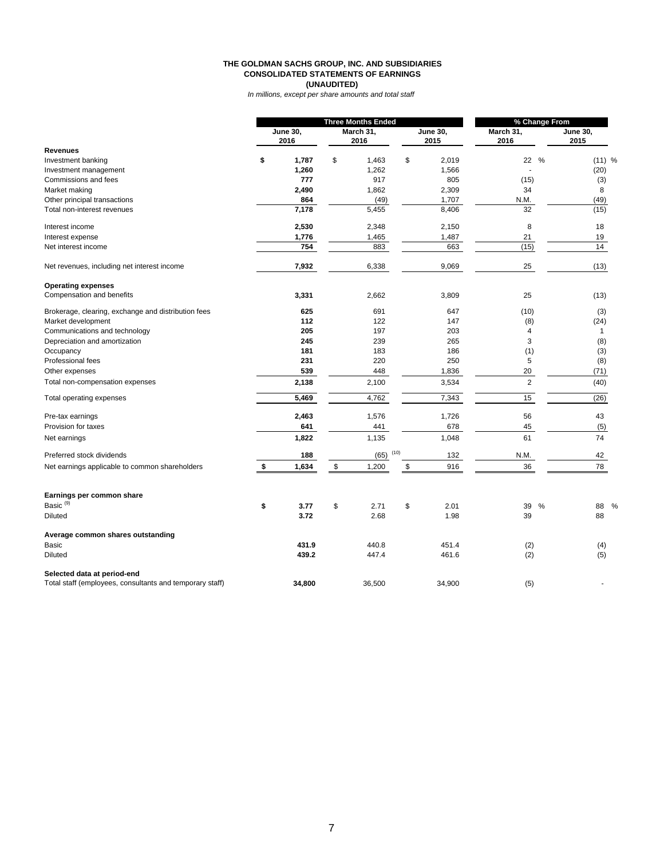#### **THE GOLDMAN SACHS GROUP, INC. AND SUBSIDIARIES CONSOLIDATED STATEMENTS OF EARNINGS (UNAUDITED)**

*In millions, except per share amounts and total staff*

|                                                          | <b>Three Months Ended</b> |        |           |        | % Change From   |        |                |      |                 |
|----------------------------------------------------------|---------------------------|--------|-----------|--------|-----------------|--------|----------------|------|-----------------|
|                                                          | <b>June 30,</b>           |        | March 31, |        | <b>June 30,</b> |        | March 31,      |      | <b>June 30,</b> |
|                                                          |                           | 2016   |           | 2016   |                 | 2015   | 2016           |      | 2015            |
| <b>Revenues</b>                                          |                           |        |           |        |                 |        |                |      |                 |
| Investment banking                                       | \$                        | 1,787  | \$        | 1,463  | \$              | 2,019  | 22             | $\%$ | (11) %          |
| Investment management                                    |                           | 1,260  |           | 1,262  |                 | 1,566  |                |      | (20)            |
| Commissions and fees                                     |                           | 777    |           | 917    |                 | 805    | (15)           |      | (3)             |
| Market making                                            |                           | 2,490  |           | 1,862  |                 | 2,309  | 34             |      | 8               |
| Other principal transactions                             |                           | 864    |           | (49)   |                 | 1,707  | N.M.           |      | (49)            |
| Total non-interest revenues                              |                           | 7,178  |           | 5,455  |                 | 8,406  | 32             |      | (15)            |
| Interest income                                          |                           | 2,530  |           | 2,348  |                 | 2,150  | 8              |      | 18              |
| Interest expense                                         |                           | 1,776  |           | 1,465  |                 | 1,487  | 21             |      | 19              |
| Net interest income                                      |                           | 754    |           | 883    |                 | 663    | (15)           |      | 14              |
| Net revenues, including net interest income              |                           | 7,932  |           | 6,338  |                 | 9,069  | 25             |      | (13)            |
| <b>Operating expenses</b>                                |                           |        |           |        |                 |        |                |      |                 |
| Compensation and benefits                                |                           | 3,331  |           | 2,662  |                 | 3,809  | 25             |      | (13)            |
| Brokerage, clearing, exchange and distribution fees      |                           | 625    |           | 691    |                 | 647    | (10)           |      | (3)             |
| Market development                                       |                           | 112    |           | 122    |                 | 147    | (8)            |      | (24)            |
| Communications and technology                            |                           | 205    |           | 197    |                 | 203    | $\overline{4}$ |      | $\mathbf{1}$    |
| Depreciation and amortization                            |                           | 245    |           | 239    |                 | 265    | 3              |      | (8)             |
| Occupancy                                                |                           | 181    |           | 183    |                 | 186    | (1)            |      | (3)             |
| Professional fees                                        |                           | 231    |           | 220    |                 | 250    | 5              |      | (8)             |
| Other expenses                                           |                           | 539    |           | 448    |                 | 1,836  | 20             |      | (71)            |
| Total non-compensation expenses                          |                           | 2,138  |           | 2,100  |                 | 3,534  | $\overline{2}$ |      | (40)            |
| Total operating expenses                                 |                           | 5,469  |           | 4,762  |                 | 7,343  | 15             |      | (26)            |
| Pre-tax earnings                                         |                           | 2,463  |           | 1,576  |                 | 1,726  | 56             |      | 43              |
| Provision for taxes                                      |                           | 641    |           | 441    |                 | 678    | 45             |      | (5)             |
| Net earnings                                             |                           | 1,822  |           | 1,135  |                 | 1,048  | 61             |      | 74              |
| Preferred stock dividends                                |                           | 188    |           | (65)   | (10)            | 132    | N.M.           |      | 42              |
| Net earnings applicable to common shareholders           | $\frac{1}{2}$             | 1,634  | \$        | 1,200  | \$              | 916    | 36             |      | 78              |
| Earnings per common share                                |                           |        |           |        |                 |        |                |      |                 |
| Basic <sup>(9)</sup>                                     | \$                        | 3.77   | \$        | 2.71   | \$              | 2.01   | 39             | %    | 88<br>%         |
| <b>Diluted</b>                                           |                           | 3.72   |           | 2.68   |                 | 1.98   | 39             |      | 88              |
| Average common shares outstanding                        |                           |        |           |        |                 |        |                |      |                 |
| Basic                                                    |                           | 431.9  |           | 440.8  |                 | 451.4  | (2)            |      | (4)             |
| <b>Diluted</b>                                           |                           | 439.2  |           | 447.4  |                 | 461.6  | (2)            |      | (5)             |
| Selected data at period-end                              |                           |        |           |        |                 |        |                |      |                 |
| Total staff (employees, consultants and temporary staff) |                           | 34,800 |           | 36,500 |                 | 34,900 | (5)            |      |                 |
|                                                          |                           |        |           |        |                 |        |                |      |                 |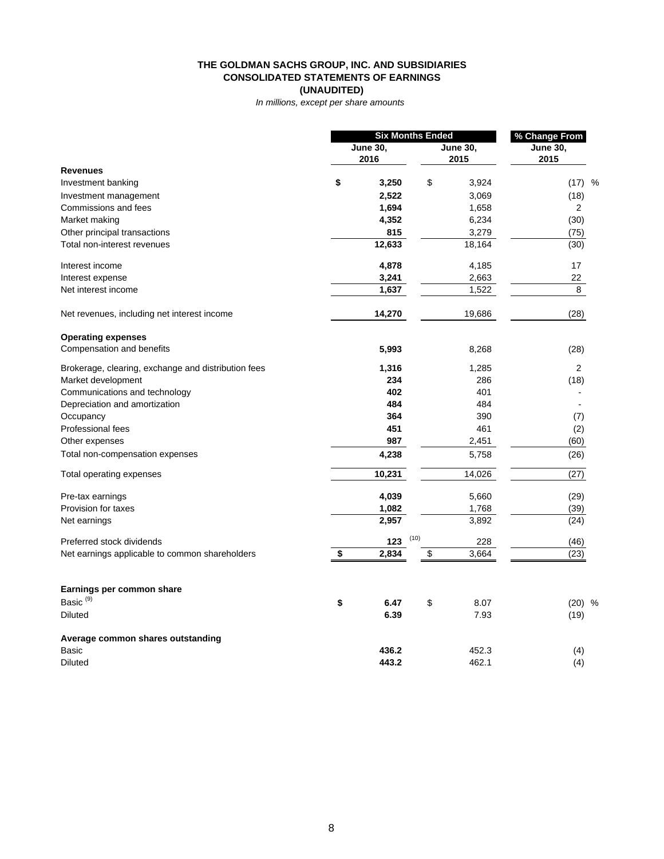#### **THE GOLDMAN SACHS GROUP, INC. AND SUBSIDIARIES CONSOLIDATED STATEMENTS OF EARNINGS (UNAUDITED)**

*In millions, except per share amounts* 

|                                                     | <b>Six Months Ended</b> |                 |      |                 | % Change From   |  |  |
|-----------------------------------------------------|-------------------------|-----------------|------|-----------------|-----------------|--|--|
|                                                     |                         | <b>June 30,</b> |      | <b>June 30,</b> | <b>June 30,</b> |  |  |
|                                                     |                         | 2016            |      | 2015            | 2015            |  |  |
| <b>Revenues</b>                                     |                         |                 |      |                 |                 |  |  |
| Investment banking                                  | \$                      | 3,250           | \$   | 3,924           | $(17)$ %        |  |  |
| Investment management                               |                         | 2,522           |      | 3,069           | (18)            |  |  |
| Commissions and fees                                |                         | 1,694           |      | 1,658           | $\overline{2}$  |  |  |
| Market making                                       |                         | 4,352           |      | 6,234           | (30)            |  |  |
| Other principal transactions                        |                         | 815             |      | 3,279           | (75)            |  |  |
| Total non-interest revenues                         |                         | 12,633          |      | 18,164          | (30)            |  |  |
| Interest income                                     |                         | 4,878           |      | 4,185           | 17              |  |  |
| Interest expense                                    |                         | 3,241           |      | 2,663           | 22              |  |  |
| Net interest income                                 |                         | 1,637           |      | 1,522           | 8               |  |  |
| Net revenues, including net interest income         |                         | 14,270          |      | 19,686          | (28)            |  |  |
| <b>Operating expenses</b>                           |                         |                 |      |                 |                 |  |  |
| Compensation and benefits                           |                         | 5,993           |      | 8,268           | (28)            |  |  |
| Brokerage, clearing, exchange and distribution fees |                         | 1,316           |      | 1,285           | $\overline{2}$  |  |  |
| Market development                                  |                         | 234             |      | 286             | (18)            |  |  |
| Communications and technology                       |                         | 402             |      | 401             |                 |  |  |
| Depreciation and amortization                       |                         | 484             |      | 484             |                 |  |  |
| Occupancy                                           |                         | 364             |      | 390             | (7)             |  |  |
| Professional fees                                   |                         | 451             |      | 461             | (2)             |  |  |
| Other expenses                                      |                         | 987             |      | 2,451           | (60)            |  |  |
| Total non-compensation expenses                     |                         | 4,238           |      | 5,758           | (26)            |  |  |
| Total operating expenses                            |                         | 10,231          |      | 14,026          | (27)            |  |  |
| Pre-tax earnings                                    |                         | 4,039           |      | 5,660           | (29)            |  |  |
| Provision for taxes                                 |                         | 1,082           |      | 1,768           | (39)            |  |  |
| Net earnings                                        |                         | 2,957           |      | 3,892           | (24)            |  |  |
| Preferred stock dividends                           |                         | 123             | (10) | 228             | (46)            |  |  |
| Net earnings applicable to common shareholders      | \$                      | 2,834           | \$   | 3,664           | (23)            |  |  |
| Earnings per common share                           |                         |                 |      |                 |                 |  |  |
| Basic <sup>(9)</sup>                                | \$                      | 6.47            | \$   | 8.07            | $(20)$ %        |  |  |
| <b>Diluted</b>                                      |                         | 6.39            |      | 7.93            | (19)            |  |  |
| Average common shares outstanding                   |                         |                 |      |                 |                 |  |  |
| <b>Basic</b>                                        |                         | 436.2           |      | 452.3           | (4)             |  |  |
| <b>Diluted</b>                                      |                         | 443.2           |      | 462.1           | (4)             |  |  |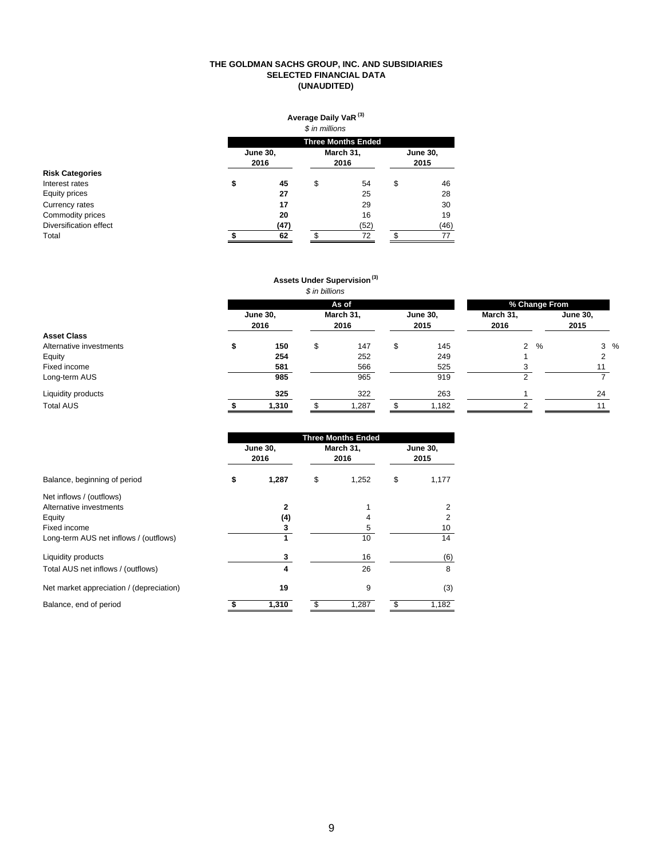#### **THE GOLDMAN SACHS GROUP, INC. AND SUBSIDIARIES SELECTED FINANCIAL DATA (UNAUDITED)**

|                        |    | Average Daily VaR <sup>(3)</sup><br>\$ in millions<br><b>Three Months Ended</b> |    |      |    |                         |  |  |  |  |
|------------------------|----|---------------------------------------------------------------------------------|----|------|----|-------------------------|--|--|--|--|
|                        |    |                                                                                 |    |      |    |                         |  |  |  |  |
|                        |    | <b>June 30,</b><br>2016                                                         |    |      |    | <b>June 30,</b><br>2015 |  |  |  |  |
| <b>Risk Categories</b> |    |                                                                                 |    | 2016 |    |                         |  |  |  |  |
| Interest rates         | \$ | 45                                                                              | \$ | 54   | \$ | 46                      |  |  |  |  |
| Equity prices          |    | 27                                                                              |    | 25   |    | 28                      |  |  |  |  |
| Currency rates         |    | 17                                                                              |    | 29   |    | 30                      |  |  |  |  |
| Commodity prices       |    | 20                                                                              |    | 16   |    | 19                      |  |  |  |  |
| Diversification effect |    | (47)                                                                            |    | (52) |    | (46)                    |  |  |  |  |
| Total                  |    | 62                                                                              | ¢  | 72   | \$ | 77                      |  |  |  |  |

## **Assets Under Supervision (3)**

*\$ in billions*

|                         | As of                   |    |                   |    |                         |                   | % Change From |                         |  |
|-------------------------|-------------------------|----|-------------------|----|-------------------------|-------------------|---------------|-------------------------|--|
|                         | <b>June 30,</b><br>2016 |    | March 31,<br>2016 |    | <b>June 30,</b><br>2015 | March 31,<br>2016 |               | <b>June 30,</b><br>2015 |  |
| <b>Asset Class</b>      |                         |    |                   |    |                         |                   |               |                         |  |
| Alternative investments | 150                     | \$ | 147               | \$ | 145                     | $\overline{2}$    | $\frac{0}{0}$ | $3\%$                   |  |
| Equity                  | 254                     |    | 252               |    | 249                     |                   |               |                         |  |
| Fixed income            | 581                     |    | 566               |    | 525                     | 3                 |               |                         |  |
| Long-term AUS           | 985                     |    | 965               |    | 919                     |                   |               |                         |  |
| Liquidity products      | 325                     |    | 322               |    | 263                     |                   |               | 24                      |  |
| <b>Total AUS</b>        | 1,310                   |    | 1,287             |    | 1,182                   | $\sim$            |               |                         |  |

|                                          |                         | <b>Three Months Ended</b> |                         |  |
|------------------------------------------|-------------------------|---------------------------|-------------------------|--|
|                                          | <b>June 30,</b><br>2016 | March 31,<br>2016         | <b>June 30,</b><br>2015 |  |
| Balance, beginning of period             | \$<br>1,287             | \$<br>1,252               | \$<br>1,177             |  |
| Net inflows / (outflows)                 |                         |                           |                         |  |
| Alternative investments                  | $\mathbf{2}$            |                           | 2                       |  |
| Equity                                   | (4)                     | 4                         | 2                       |  |
| Fixed income                             | 3                       | 5                         | 10                      |  |
| Long-term AUS net inflows / (outflows)   | 1                       | 10                        | 14                      |  |
| Liquidity products                       | 3                       | 16                        | (6)                     |  |
| Total AUS net inflows / (outflows)       | 4                       | 26                        | 8                       |  |
| Net market appreciation / (depreciation) | 19                      | 9                         | (3)                     |  |
| Balance, end of period                   | 1,310                   | 1,287                     | 1,182                   |  |